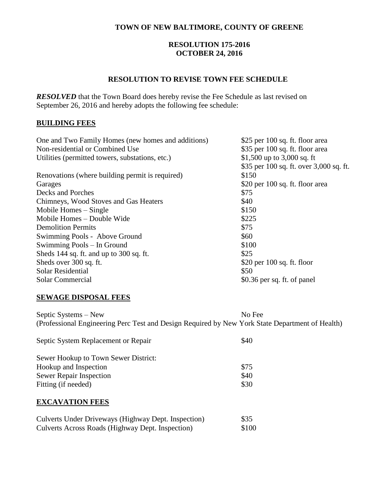# **TOWN OF NEW BALTIMORE, COUNTY OF GREENE**

### **RESOLUTION 175-2016 OCTOBER 24, 2016**

### **RESOLUTION TO REVISE TOWN FEE SCHEDULE**

*RESOLVED* that the Town Board does hereby revise the Fee Schedule as last revised on September 26, 2016 and hereby adopts the following fee schedule:

# **BUILDING FEES**

| One and Two Family Homes (new homes and additions) | \$25 per 100 sq. ft. floor area         |
|----------------------------------------------------|-----------------------------------------|
| Non-residential or Combined Use                    | \$35 per 100 sq. ft. floor area         |
| Utilities (permitted towers, substations, etc.)    | \$1,500 up to 3,000 sq. ft              |
|                                                    | \$35 per 100 sq. ft. over 3,000 sq. ft. |
| Renovations (where building permit is required)    | \$150                                   |
| Garages                                            | \$20 per 100 sq. ft. floor area         |
| Decks and Porches                                  | \$75                                    |
| Chimneys, Wood Stoves and Gas Heaters              | \$40                                    |
| Mobile Homes – Single                              | \$150                                   |
| Mobile Homes – Double Wide                         | \$225                                   |
| <b>Demolition Permits</b>                          | \$75                                    |
| Swimming Pools - Above Ground                      | \$60                                    |
| Swimming Pools – In Ground                         | \$100                                   |
| Sheds 144 sq. ft. and up to 300 sq. ft.            | \$25                                    |
| Sheds over 300 sq. ft.                             | $$20$ per 100 sq. ft. floor             |
| <b>Solar Residential</b>                           | \$50                                    |
| Solar Commercial                                   | \$0.36 per sq. ft. of panel             |
|                                                    |                                         |

#### **SEWAGE DISPOSAL FEES**

Septic Systems – New No Fee (Professional Engineering Perc Test and Design Required by New York State Department of Health)

| Septic System Replacement or Repair  | \$40 |
|--------------------------------------|------|
| Sewer Hookup to Town Sewer District: |      |
| Hookup and Inspection                | \$75 |
| <b>Sewer Repair Inspection</b>       | \$40 |
| Fitting (if needed)                  | \$30 |

#### **EXCAVATION FEES**

| Culverts Under Driveways (Highway Dept. Inspection) | \$35  |
|-----------------------------------------------------|-------|
| Culverts Across Roads (Highway Dept. Inspection)    | \$100 |